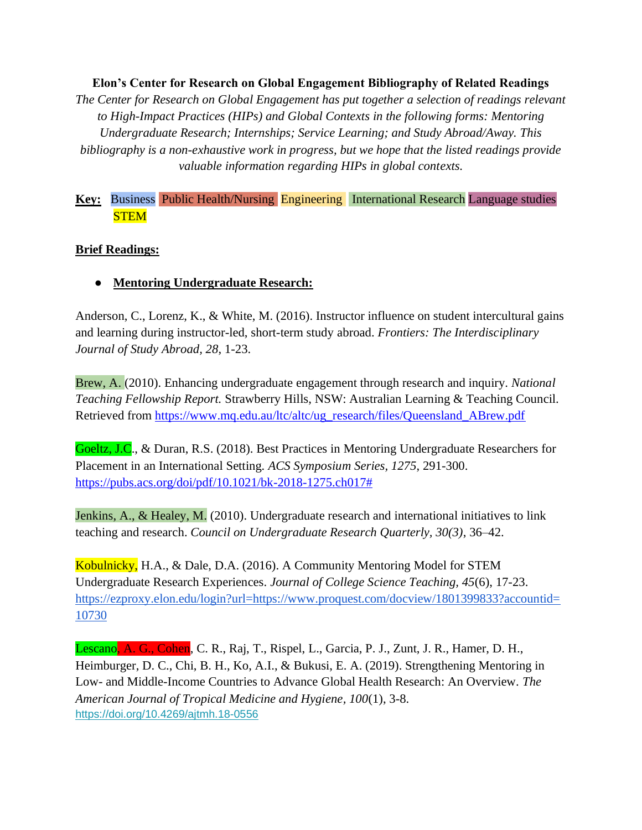**Elon's Center for Research on Global Engagement Bibliography of Related Readings** *The Center for Research on Global Engagement has put together a selection of readings relevant to High-Impact Practices (HIPs) and Global Contexts in the following forms: Mentoring Undergraduate Research; Internships; Service Learning; and Study Abroad/Away. This bibliography is a non-exhaustive work in progress, but we hope that the listed readings provide valuable information regarding HIPs in global contexts.*

#### **Key:** Business Public Health/Nursing Engineering International Research Language studies **STEM**

#### **Brief Readings:**

● **Mentoring Undergraduate Research:**

Anderson, C., Lorenz, K., & White, M. (2016). Instructor influence on student intercultural gains and learning during instructor-led, short-term study abroad. *Frontiers: The Interdisciplinary Journal of Study Abroad, 28*, 1-23.

Brew, A. (2010). Enhancing undergraduate engagement through research and inquiry. *National Teaching Fellowship Report.* Strawberry Hills, NSW: Australian Learning & Teaching Council. Retrieved from [https://www.mq.edu.au/ltc/altc/ug\\_research/files/Queensland\\_ABrew.pdf](https://www.mq.edu.au/ltc/altc/ug_research/files/Queensland_ABrew.pdf)

Goeltz, J.C., & Duran, R.S. (2018). Best Practices in Mentoring Undergraduate Researchers for Placement in an International Setting*. ACS Symposium Series, 1275*, 291-300. [https://pubs.acs.org/doi/pdf/10.1021/bk-2018-1275.ch017#](https://pubs.acs.org/doi/pdf/10.1021/bk-2018-1275.ch017)

Jenkins, A., & Healey, M. (2010). Undergraduate research and international initiatives to link teaching and research. *Council on Undergraduate Research Quarterly, 30(3)*, 36–42.

Kobulnicky, H.A., & Dale, D.A. (2016). A Community Mentoring Model for STEM Undergraduate Research Experiences. *Journal of College Science Teaching, 45*(6), 17-23. [https://ezproxy.elon.edu/login?url=https://www.proquest.com/docview/1801399833?accountid=](https://ezproxy.elon.edu/login?url=https://www.proquest.com/docview/1801399833?accountid=10730) [10730](https://ezproxy.elon.edu/login?url=https://www.proquest.com/docview/1801399833?accountid=10730)

Lescano, A. G., Cohen, C. R., Raj, T., Rispel, L., Garcia, P. J., Zunt, J. R., Hamer, D. H., Heimburger, D. C., Chi, B. H., Ko, A.I., & Bukusi, E. A. (2019). Strengthening Mentoring in Low- and Middle-Income Countries to Advance Global Health Research: An Overview. *The American Journal of Tropical Medicine and Hygiene, 100*(1), 3-8. <https://doi.org/10.4269/ajtmh.18-0556>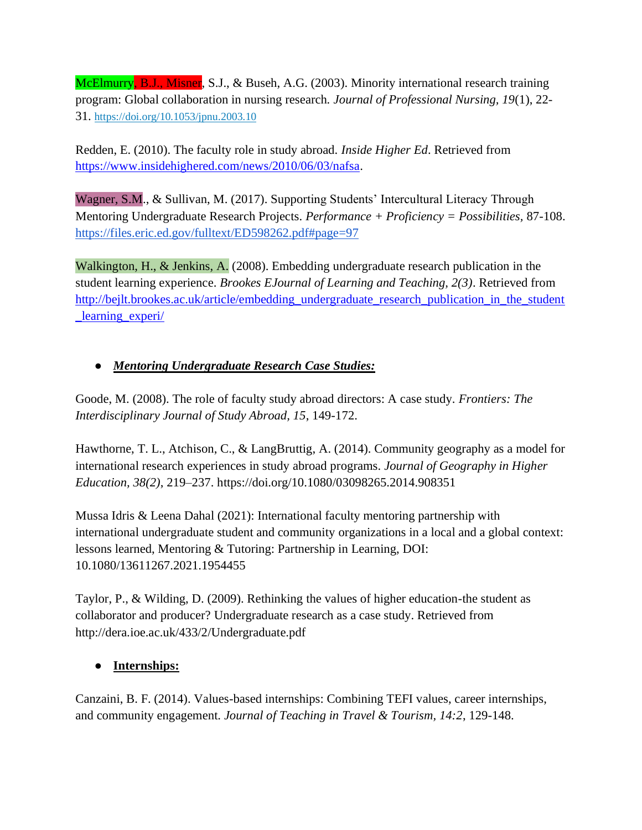McElmurry, B.J., Misner, S.J., & Buseh, A.G. (2003). Minority international research training program: Global collaboration in nursing research*. Journal of Professional Nursing, 19*(1), 22- 31. <https://doi.org/10.1053/jpnu.2003.10>

Redden, E. (2010). The faculty role in study abroad. *Inside Higher Ed*. Retrieved from [https://www.insidehighered.com/news/2010/06/03/nafsa.](https://www.insidehighered.com/news/2010/06/03/nafsa)

Wagner, S.M., & Sullivan, M. (2017). Supporting Students' Intercultural Literacy Through Mentoring Undergraduate Research Projects. *Performance + Proficiency = Possibilities,* 87-108. <https://files.eric.ed.gov/fulltext/ED598262.pdf#page=97>

Walkington, H., & Jenkins, A. (2008). Embedding undergraduate research publication in the student learning experience. *Brookes EJournal of Learning and Teaching, 2(3)*. Retrieved from [http://bejlt.brookes.ac.uk/article/embedding\\_undergraduate\\_research\\_publication\\_in\\_the\\_student](http://bejlt.brookes.ac.uk/article/embedding_undergraduate_research_publication_in_the_student_learning_experi/) [\\_learning\\_experi/](http://bejlt.brookes.ac.uk/article/embedding_undergraduate_research_publication_in_the_student_learning_experi/)

# ● *Mentoring Undergraduate Research Case Studies:*

Goode, M. (2008). The role of faculty study abroad directors: A case study. *Frontiers: The Interdisciplinary Journal of Study Abroad, 15*, 149-172.

Hawthorne, T. L., Atchison, C., & LangBruttig, A. (2014). Community geography as a model for international research experiences in study abroad programs. *Journal of Geography in Higher Education, 38(2)*, 219–237. https://doi.org/10.1080/03098265.2014.908351

Mussa Idris & Leena Dahal (2021): International faculty mentoring partnership with international undergraduate student and community organizations in a local and a global context: lessons learned, Mentoring & Tutoring: Partnership in Learning, DOI: 10.1080/13611267.2021.1954455

Taylor, P., & Wilding, D. (2009). Rethinking the values of higher education-the student as collaborator and producer? Undergraduate research as a case study. Retrieved from http://dera.ioe.ac.uk/433/2/Undergraduate.pdf

# ● **Internships:**

Canzaini, B. F. (2014). Values-based internships: Combining TEFI values, career internships, and community engagement. *Journal of Teaching in Travel & Tourism, 14:2*, 129-148.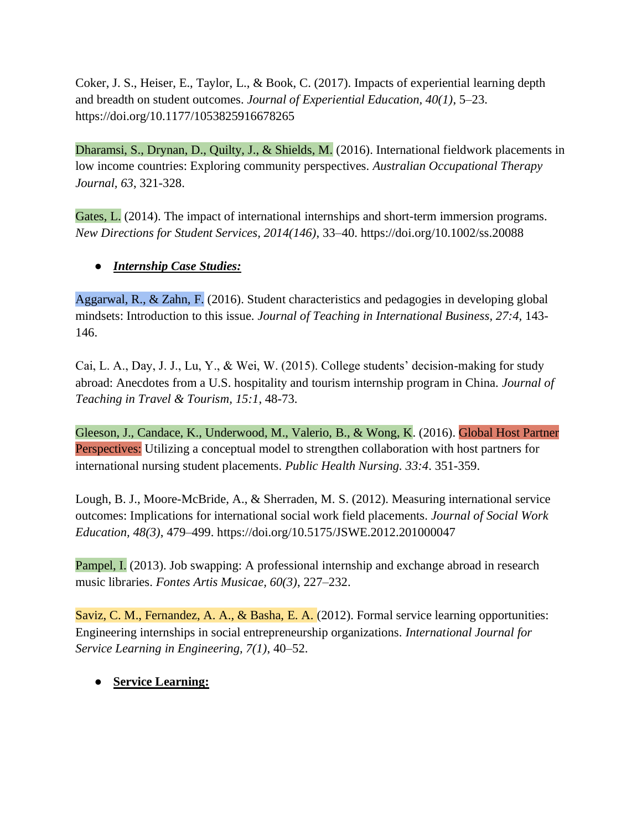Coker, J. S., Heiser, E., Taylor, L., & Book, C. (2017). Impacts of experiential learning depth and breadth on student outcomes. *Journal of Experiential Education, 40(1)*, 5–23. https://doi.org/10.1177/1053825916678265

Dharamsi, S., Drynan, D., Quilty, J., & Shields, M. (2016). International fieldwork placements in low income countries: Exploring community perspectives. *Australian Occupational Therapy Journal, 63*, 321-328.

Gates, L. (2014). The impact of international internships and short-term immersion programs. *New Directions for Student Services, 2014(146)*, 33–40. https://doi.org/10.1002/ss.20088

# ● *Internship Case Studies:*

Aggarwal, R., & Zahn, F. (2016). Student characteristics and pedagogies in developing global mindsets: Introduction to this issue. *Journal of Teaching in International Business, 27:4,* 143- 146.

Cai, L. A., Day, J. J., Lu, Y., & Wei, W. (2015). College students' decision-making for study abroad: Anecdotes from a U.S. hospitality and tourism internship program in China. *Journal of Teaching in Travel & Tourism, 15:1*, 48-73.

Gleeson, J., Candace, K., Underwood, M., Valerio, B., & Wong, K. (2016). Global Host Partner Perspectives: Utilizing a conceptual model to strengthen collaboration with host partners for international nursing student placements. *Public Health Nursing. 33:4*. 351-359.

Lough, B. J., Moore-McBride, A., & Sherraden, M. S. (2012). Measuring international service outcomes: Implications for international social work field placements. *Journal of Social Work Education, 48(3)*, 479–499. https://doi.org/10.5175/JSWE.2012.201000047

Pampel, I. (2013). Job swapping: A professional internship and exchange abroad in research music libraries. *Fontes Artis Musicae, 60(3)*, 227–232.

Saviz, C. M., Fernandez, A. A., & Basha, E. A. (2012). Formal service learning opportunities: Engineering internships in social entrepreneurship organizations. *International Journal for Service Learning in Engineering, 7(1)*, 40–52.

# ● **Service Learning:**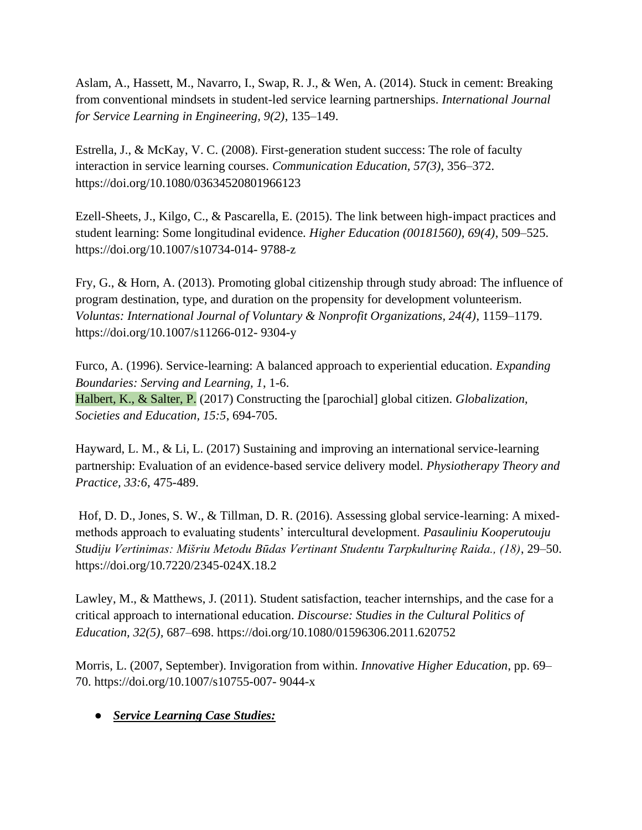Aslam, A., Hassett, M., Navarro, I., Swap, R. J., & Wen, A. (2014). Stuck in cement: Breaking from conventional mindsets in student-led service learning partnerships. *International Journal for Service Learning in Engineering, 9(2)*, 135–149.

Estrella, J., & McKay, V. C. (2008). First-generation student success: The role of faculty interaction in service learning courses. *Communication Education, 57(3)*, 356–372. https://doi.org/10.1080/03634520801966123

Ezell-Sheets, J., Kilgo, C., & Pascarella, E. (2015). The link between high-impact practices and student learning: Some longitudinal evidence. *Higher Education (00181560), 69(4)*, 509–525. https://doi.org/10.1007/s10734-014- 9788-z

Fry, G., & Horn, A. (2013). Promoting global citizenship through study abroad: The influence of program destination, type, and duration on the propensity for development volunteerism. *Voluntas: International Journal of Voluntary & Nonprofit Organizations, 24(4)*, 1159–1179. https://doi.org/10.1007/s11266-012- 9304-y

Furco, A. (1996). Service-learning: A balanced approach to experiential education. *Expanding Boundaries: Serving and Learning, 1*, 1-6. Halbert, K., & Salter, P. (2017) Constructing the [parochial] global citizen. *Globalization, Societies and Education, 15:5*, 694-705.

Hayward, L. M., & Li, L. (2017) Sustaining and improving an international service-learning partnership: Evaluation of an evidence-based service delivery model. *Physiotherapy Theory and Practice, 33:6*, 475-489.

Hof, D. D., Jones, S. W., & Tillman, D. R. (2016). Assessing global service-learning: A mixedmethods approach to evaluating students' intercultural development. *Pasauliniu Kooperutouju Studiju Vertinimas: Mišriu Metodu Būdas Vertinant Studentu Tarpkulturinę Raida., (18)*, 29–50. https://doi.org/10.7220/2345-024X.18.2

Lawley, M., & Matthews, J. (2011). Student satisfaction, teacher internships, and the case for a critical approach to international education. *Discourse: Studies in the Cultural Politics of Education, 32(5),* 687–698. https://doi.org/10.1080/01596306.2011.620752

Morris, L. (2007, September). Invigoration from within. *Innovative Higher Education*, pp. 69– 70. https://doi.org/10.1007/s10755-007- 9044-x

# ● *Service Learning Case Studies:*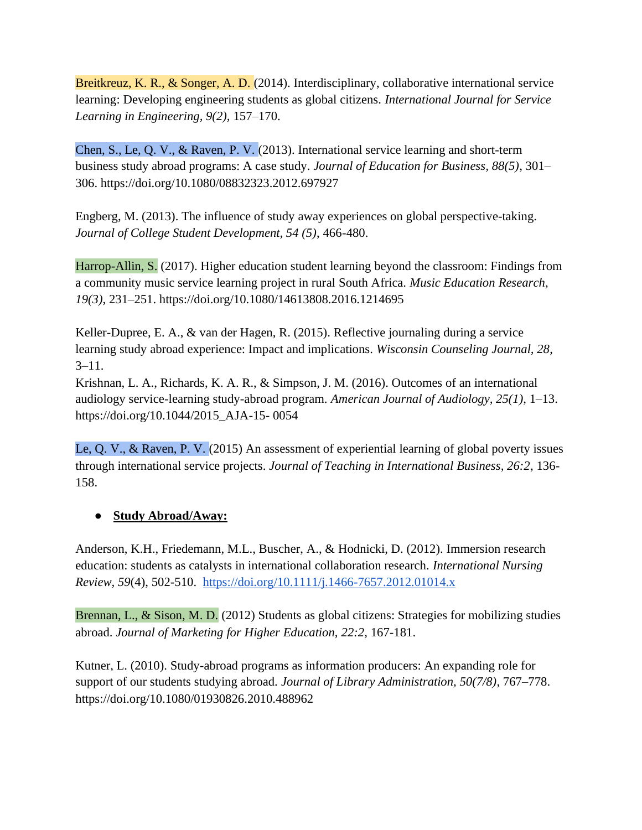Breitkreuz, K. R., & Songer, A. D. (2014). Interdisciplinary, collaborative international service learning: Developing engineering students as global citizens. *International Journal for Service Learning in Engineering, 9(2),* 157–170.

Chen, S., Le, Q. V., & Raven, P. V. (2013). International service learning and short-term business study abroad programs: A case study. *Journal of Education for Business, 88(5)*, 301– 306. https://doi.org/10.1080/08832323.2012.697927

Engberg, M. (2013). The influence of study away experiences on global perspective-taking. *Journal of College Student Development, 54 (5)*, 466-480.

Harrop-Allin, S. (2017). Higher education student learning beyond the classroom: Findings from a community music service learning project in rural South Africa. *Music Education Research, 19(3)*, 231–251. https://doi.org/10.1080/14613808.2016.1214695

Keller-Dupree, E. A., & van der Hagen, R. (2015). Reflective journaling during a service learning study abroad experience: Impact and implications. *Wisconsin Counseling Journal, 28*,  $3 - 11$ .

Krishnan, L. A., Richards, K. A. R., & Simpson, J. M. (2016). Outcomes of an international audiology service-learning study-abroad program. *American Journal of Audiology, 25(1)*, 1–13. https://doi.org/10.1044/2015\_AJA-15- 0054

Le, Q. V., & Raven, P. V. (2015) An assessment of experiential learning of global poverty issues through international service projects. *Journal of Teaching in International Business, 26:2*, 136- 158.

# ● **Study Abroad/Away:**

Anderson, K.H., Friedemann, M.L., Buscher, A., & Hodnicki, D. (2012). Immersion research education: students as catalysts in international collaboration research. *International Nursing Review, 59*(4), 502-510. <https://doi.org/10.1111/j.1466-7657.2012.01014.x>

Brennan, L., & Sison, M. D. (2012) Students as global citizens: Strategies for mobilizing studies abroad. *Journal of Marketing for Higher Education, 22:2,* 167-181.

Kutner, L. (2010). Study-abroad programs as information producers: An expanding role for support of our students studying abroad. *Journal of Library Administration, 50(7/8)*, 767–778. https://doi.org/10.1080/01930826.2010.488962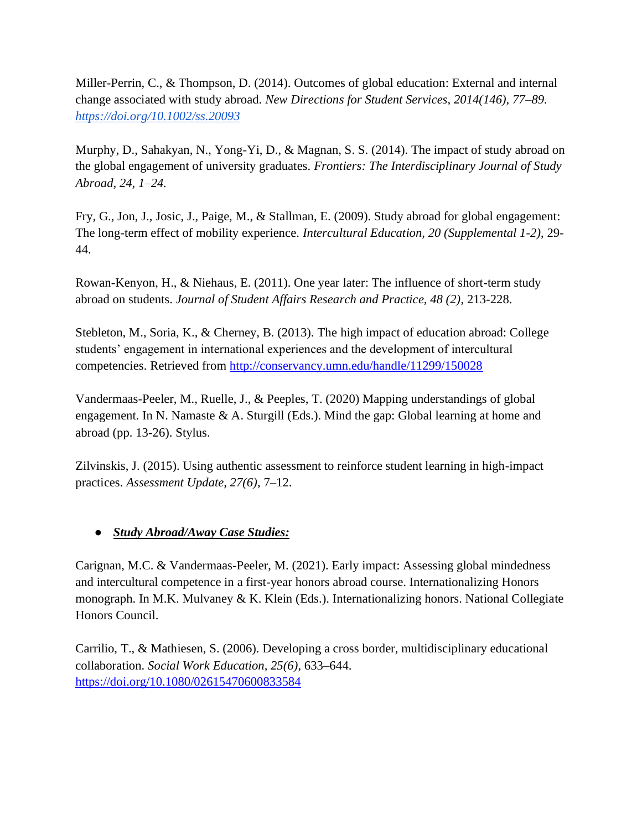Miller-Perrin, C., & Thompson, D. (2014). Outcomes of global education: External and internal change associated with study abroad. *New Directions for Student Services, 2014(146), 77–89. <https://doi.org/10.1002/ss.20093>*

Murphy, D., Sahakyan, N., Yong-Yi, D., & Magnan, S. S. (2014). The impact of study abroad on the global engagement of university graduates. *Frontiers: The Interdisciplinary Journal of Study Abroad, 24, 1–24.*

Fry, G., Jon, J., Josic, J., Paige, M., & Stallman, E. (2009). Study abroad for global engagement: The long-term effect of mobility experience. *Intercultural Education, 20 (Supplemental 1-2)*, 29- 44.

Rowan-Kenyon, H., & Niehaus, E. (2011). One year later: The influence of short-term study abroad on students. *Journal of Student Affairs Research and Practice, 48 (2)*, 213-228.

Stebleton, M., Soria, K., & Cherney, B. (2013). The high impact of education abroad: College students' engagement in international experiences and the development of intercultural competencies. Retrieved from<http://conservancy.umn.edu/handle/11299/150028>

Vandermaas-Peeler, M., Ruelle, J., & Peeples, T. (2020) Mapping understandings of global engagement. In N. Namaste & A. Sturgill (Eds.). Mind the gap: Global learning at home and abroad (pp. 13-26). Stylus.

Zilvinskis, J. (2015). Using authentic assessment to reinforce student learning in high-impact practices. *Assessment Update, 27(6)*, 7–12.

# ● *Study Abroad/Away Case Studies:*

Carignan, M.C. & Vandermaas-Peeler, M. (2021). Early impact: Assessing global mindedness and intercultural competence in a first-year honors abroad course. Internationalizing Honors monograph. In M.K. Mulvaney & K. Klein (Eds.). Internationalizing honors. National Collegiate Honors Council.

Carrilio, T., & Mathiesen, S. (2006). Developing a cross border, multidisciplinary educational collaboration. *Social Work Education, 25(6)*, 633–644. <https://doi.org/10.1080/02615470600833584>